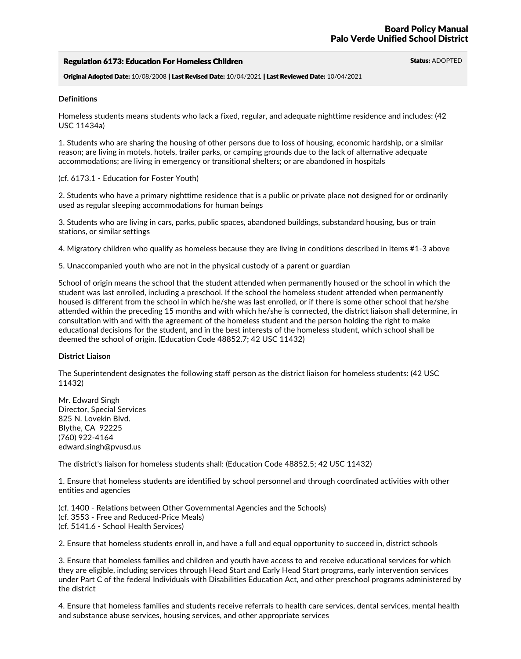### Regulation 6173: Education For Homeless Children Status: ADOPTED Status: ADOPTED

Original Adopted Date: 10/08/2008 | Last Revised Date: 10/04/2021 | Last Reviewed Date: 10/04/2021

#### **Definitions**

Homeless students means students who lack a fixed, regular, and adequate nighttime residence and includes: (42 USC 11434a)

1. Students who are sharing the housing of other persons due to loss of housing, economic hardship, or a similar reason; are living in motels, hotels, trailer parks, or camping grounds due to the lack of alternative adequate accommodations; are living in emergency or transitional shelters; or are abandoned in hospitals

### (cf. 6173.1 - Education for Foster Youth)

2. Students who have a primary nighttime residence that is a public or private place not designed for or ordinarily used as regular sleeping accommodations for human beings

3. Students who are living in cars, parks, public spaces, abandoned buildings, substandard housing, bus or train stations, or similar settings

4. Migratory children who qualify as homeless because they are living in conditions described in items #1-3 above

5. Unaccompanied youth who are not in the physical custody of a parent or guardian

School of origin means the school that the student attended when permanently housed or the school in which the student was last enrolled, including a preschool. If the school the homeless student attended when permanently housed is different from the school in which he/she was last enrolled, or if there is some other school that he/she attended within the preceding 15 months and with which he/she is connected, the district liaison shall determine, in consultation with and with the agreement of the homeless student and the person holding the right to make educational decisions for the student, and in the best interests of the homeless student, which school shall be deemed the school of origin. (Education Code 48852.7; 42 USC 11432)

### **District Liaison**

The Superintendent designates the following staff person as the district liaison for homeless students: (42 USC 11432)

Mr. Edward Singh Director, Special Services <sup>825</sup> N. Lovekin Blvd. Blythe, CA <sup>92225</sup> (760) 922-4164 edward.singh@pvusd.us

The district's liaison for homeless students shall: (Education Code 48852.5; 42 USC 11432)

1. Ensure that homeless students are identified by school personnel and through coordinated activities with other entities and agencies

(cf. 1400 - Relations between Other Governmental Agencies and the Schools) (cf. 3553 - Free and Reduced-Price Meals) (cf. 5141.6 - School Health Services)

2. Ensure that homeless students enroll in, and have a full and equal opportunity to succeed in, district schools

3. Ensure that homeless families and children and youth have access to and receive educational services for which they are eligible, including services through Head Start and Early Head Start programs, early intervention services under Part C of the federal Individuals with Disabilities Education Act, and other preschool programs administered by the district

4. Ensure that homeless families and students receive referrals to health care services, dental services, mental health and substance abuse services, housing services, and other appropriate services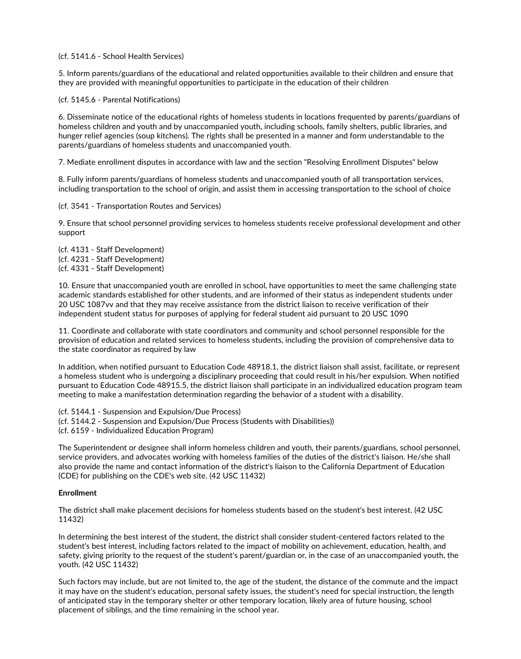(cf. 5141.6 - School Health Services)

5. Inform parents/guardians of the educational and related opportunities available to their children and ensure that they are provided with meaningful opportunities to participate in the education of their children

(cf. 5145.6 - Parental Notifications)

6. Disseminate notice of the educational rights of homeless students in locations frequented by parents/guardians of homeless children and youth and by unaccompanied youth, including schools, family shelters, public libraries, and hunger relief agencies (soup kitchens). The rights shall be presented in a manner and form understandable to the parents/guardians of homeless students and unaccompanied youth.

7. Mediate enrollment disputes in accordance with law and the section "Resolving Enrollment Disputes" below

8. Fully inform parents/guardians of homeless students and unaccompanied youth of all transportation services, including transportation to the school of origin, and assist them in accessing transportation to the school of choice

(cf. 3541 - Transportation Routes and Services)

9. Ensure that school personnel providing services to homeless students receive professional development and other support

(cf. 4131 - Staff Development) (cf. 4231 - Staff Development) (cf. 4331 - Staff Development)

10. Ensure that unaccompanied youth are enrolled in school, have opportunities to meet the same challenging state academic standards established for other students, and are informed of their status as independent students under 20 USC 1087vv and that they may receive assistance from the district liaison to receive verification of their independent student status for purposes of applying for federal student aid pursuant to 20 USC 1090

11. Coordinate and collaborate with state coordinators and community and school personnel responsible for the provision of education and related services to homeless students, including the provision of comprehensive data to the state coordinator as required by law

In addition, when notified pursuant to Education Code 48918.1, the district liaison shall assist, facilitate, or represent a homeless student who is undergoing a disciplinary proceeding that could result in his/her expulsion. When notified pursuant to Education Code 48915.5, the district liaison shall participate in an individualized education program team meeting to make a manifestation determination regarding the behavior of a student with a disability.

(cf. 5144.1 - Suspension and Expulsion/Due Process) (cf. 5144.2 - Suspension and Expulsion/Due Process (Students with Disabilities)) (cf. 6159 - Individualized Education Program)

The Superintendent or designee shall inform homeless children and youth, their parents/guardians, school personnel,<br>service providers, and advocates working with homeless families of the duties of the district's liaison. H also provide the name and contact information of the district's liaison to the California Department of Education (CDE) for publishing on the CDE's web site. (42 USC 11432)

# **Enrollment**

The district shall make placement decisions for homeless students based on the student's best interest. (42 USC 11432)

In determining the best interest of the student, the district shall consider student-centered factors related to the student's best interest, including factors related to the impact of mobility on achievement, education, health, and safety, giving priority to the request of the student's parent/guardian or, in the case of an unaccompanied youth, the youth. (42 USC 11432)

Such factors may include, but are not limited to, the age of the student, the distance of the commute and the impact it may have on the student's education, personal safety issues, the student's need for special instruction, the length of anticipated stay in the temporary shelter or other temporary location, likely area of future housing, school placement of siblings, and the time remaining in the school year.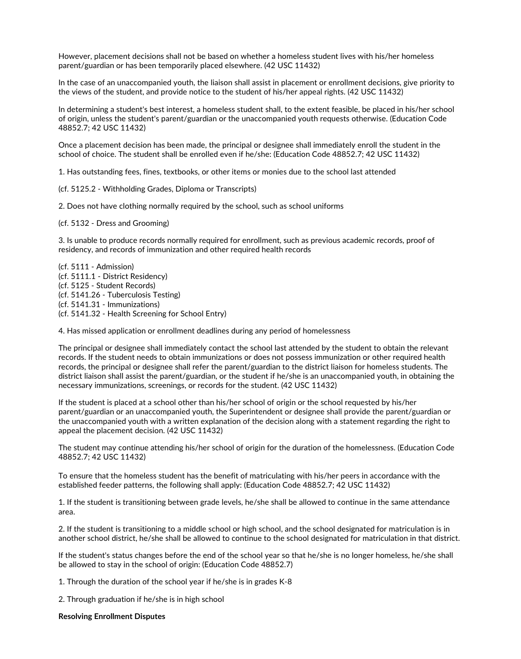However, placement decisions shall not be based on whether a homeless student lives with his/her homeless parent/guardian or has been temporarily placed elsewhere. (42 USC 11432)

In the case of an unaccompanied youth, the liaison shall assist in placement or enrollment decisions, give priority to the views of the student, and provide notice to the student of his/her appeal rights. (42 USC 11432)

In determining a student's best interest, a homeless student shall, to the extent feasible, be placed in his/her school of origin, unless the student's parent/guardian or the unaccompanied youth requests otherwise. (Education Code 48852.7; 42 USC 11432)

Once a placement decision has been made, the principal or designee shall immediately enroll the student in the school of choice. The student shall be enrolled even if he/she: (Education Code 48852.7; 42 USC 11432)

1. Has outstanding fees, fines, textbooks, or other items or monies due to the school last attended

(cf. 5125.2 - Withholding Grades, Diploma or Transcripts)

2. Does not have clothing normally required by the school, such as school uniforms

(cf. 5132 - Dress and Grooming)

3. Is unable to produce records normally required for enrollment, such as previous academic records, proof of residency, and records of immunization and other required health records

(cf. 5111 - Admission) (cf. 5111.1 - District Residency) (cf. 5125 - Student Records) (cf. 5141.26 - Tuberculosis Testing) (cf. 5141.31 - Immunizations) (cf. 5141.32 - Health Screening for School Entry)

4. Has missed application or enrollment deadlines during any period of homelessness

The principal or designee shall immediately contact the school last attended by the student to obtain the relevant records. If the student needs to obtain immunizations or does not possess immunization or other required health records, the principal or designee shall refer the parent/guardian to the district liaison for homeless students. The district liaison shall assist the parent/guardian, or the student if he/she is an unaccompanied youth, in obtaining the necessary immunizations, screenings, or records for the student. (42 USC 11432)

If the student is placed at a school other than his/her school of origin or the school requested by his/her parent/guardian or an unaccompanied youth, the Superintendent or designee shall provide the parent/guardian or the unaccompanied youth with a written explanation of the decision along with a statement regarding the right to appeal the placement decision. (42 USC 11432)

The student may continue attending his/her school of origin for the duration of the homelessness. (Education Code 48852.7; 42 USC 11432)

To ensure that the homeless student has the benefit of matriculating with his/her peers in accordance with the established feeder patterns, the following shall apply: (Education Code 48852.7; 42 USC 11432)

1. If the student is transitioning between grade levels, he/she shall be allowed to continue in the same attendance area.

2. If the student is transitioning to a middle school or high school, and the school designated for matriculation is in another school district, he/she shall be allowed to continue to the school designated for matriculation in that district.

If the student's status changes before the end of the school year so that he/she is no longer homeless, he/she shall be allowed to stay in the school of origin: (Education Code 48852.7)

1. Through the duration of the school year if he/she is in grades K-8

2. Through graduation if he/she is in high school

**Resolving Enrollment Disputes**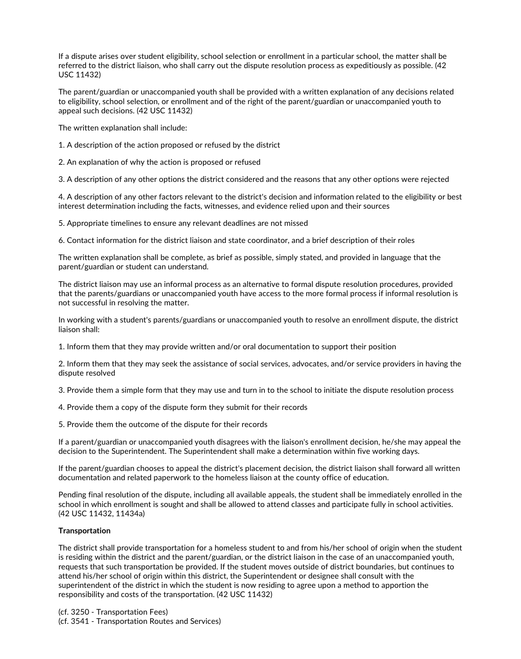If a dispute arises over student eligibility, school selection or enrollment in a particular school, the matter shall be referred to the district liaison, who shall carry out the dispute resolution process as expeditiously as possible. (42 USC 11432)

The parent/guardian or unaccompanied youth shall be provided with a written explanation of any decisions related to eligibility, school selection, or enrollment and of the right of the parent/guardian or unaccompanied youth to appeal such decisions. (42 USC 11432)

The written explanation shall include:

1. A description of the action proposed or refused by the district

2. An explanation of why the action is proposed or refused

3. A description of any other options the district considered and the reasons that any other options were rejected

4. A description of any other factors relevant to the district's decision and information related to the eligibility or best interest determination including the facts, witnesses, and evidence relied upon and their sources

5. Appropriate timelines to ensure any relevant deadlines are not missed

6. Contact information for the district liaison and state coordinator, and a brief description of their roles

The written explanation shall be complete, as brief as possible, simply stated, and provided in language that the parent/guardian or student can understand.

The district liaison may use an informal process as an alternative to formal dispute resolution procedures, provided that the parents/guardians or unaccompanied youth have access to the more formal process if informal resolution is not successful in resolving the matter.

In working with a student's parents/guardians or unaccompanied youth to resolve an enrollment dispute, the district liaison shall:

1. Inform them that they may provide written and/or oral documentation to support their position

2. Inform them that they may seek the assistance of social services, advocates, and/or service providers in having the dispute resolved

3. Provide them a simple form that they may use and turn in to the school to initiate the dispute resolution process

- 4. Provide them a copy of the dispute form they submit for their records
- 5. Provide them the outcome of the dispute for their records

If a parent/guardian or unaccompanied youth disagrees with the liaison's enrollment decision, he/she may appeal the decision to the Superintendent. The Superintendent shall make a determination within five working days.

If the parent/guardian chooses to appeal the district's placement decision, the district liaison shall forward all written documentation and related paperwork to the homeless liaison at the county office of education.

Pending final resolution of the dispute, including all available appeals, the student shall be immediately enrolled in the school in which enrollment is sought and shall be allowed to attend classes and participate fully in school activities. (42 USC 11432, 11434a)

# **Transportation**

The district shall provide transportation for a homeless student to and from his/her school of origin when the student is residing within the district and the parent/guardian, or the district liaison in the case of an unaccompanied youth,<br>requests that such transportation be provided. If the student moves outside of district boundaries, bu attend his/her school of origin within this district, the Superintendent or designee shall consult with the superintendent of the district in which the student is now residing to agree upon a method to apportion the responsibility and costs of the transportation. (42 USC 11432)

(cf. 3250 - Transportation Fees) (cf. 3541 - Transportation Routes and Services)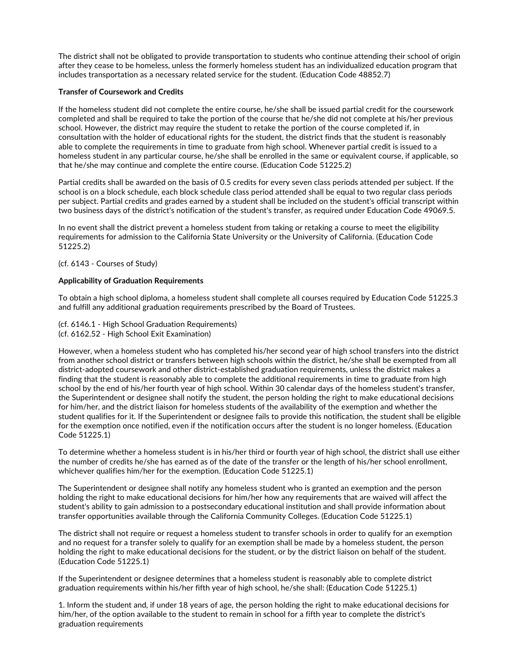The district shall not be obligated to provide transportation to students who continue attending their school of origin after they cease to be homeless, unless the formerly homeless student has an individualized education program that includes transportation as a necessary related service for the student. (Education Code 48852.7)

# **Transfer of Coursework and Credits**

If the homeless student did not complete the entire course, he/she shall be issued partial credit for the coursework completed and shall be required to take the portion of the course that he/she did not complete at his/her previous school. However, the district may require the student to retake the portion of the course completed if, in consultation with the holder of educational rights for the student, the district finds that the student is reasonably able to complete the requirements in time to graduate from high school. Whenever partial credit is issued to a homeless student in any particular course, he/she shall be enrolled in the same or equivalent course, if applicable, so that he/she may continue and complete the entire course. (Education Code 51225.2)

Partial credits shall be awarded on the basis of 0.5 credits for every seven class periods attended per subject. If the school is on a block schedule, each block schedule class period attended shall be equal to two regular class periods per subject. Partial credits and grades earned by a student shall be included on the student's official transcript within two business days of the district's notification of the student's transfer, as required under Education Code 49069.5.

In no event shall the district prevent a homeless student from taking or retaking a course to meet the eligibility requirements for admission to the California State University or the University of California. (Education Code 51225.2)

(cf. 6143 - Courses of Study)

### **Applicability of Graduation Requirements**

To obtain a high school diploma, a homeless student shall complete all courses required by Education Code 51225.3 and fulfill any additional graduation requirements prescribed by the Board of Trustees.

(cf. 6146.1 - High School Graduation Requirements) (cf. 6162.52 - High School Exit Examination)

However, when a homeless student who has completed his/her second year of high school transfers into the district from another school district or transfers between high schools within the district, he/she shall be exempted from all district-adopted coursework and other district-established graduation requirements, unless the district makes a finding that the student is reasonably able to complete the additional requirements in time to graduate from high school by the end of his/her fourth year of high school. Within 30 calendar days of the homeless student's transfer,<br>the Superintendent or designee shall notify the student, the person holding the right to make educational for him/her, and the district liaison for homeless students of the availability of the exemption and whether the student qualifies for it. If the Superintendent or designee fails to provide this notification, the student shall be eligible for the exemption once notified, even if the notification occurs after the student is no longer homeless. (Education Code 51225.1)

To determine whether a homeless student is in his/her third or fourth year of high school, the district shall use either the number of credits he/she has earned as of the date of the transfer or the length of his/her school enrollment, whichever qualifies him/her for the exemption. (Education Code 51225.1)

The Superintendent or designee shall notify any homeless student who is granted an exemption and the person holding the right to make educational decisions for him/her how any requirements that are waived will affect the student's ability to gain admission to a postsecondary educational institution and shall provide information about transfer opportunities available through the California Community Colleges. (Education Code 51225.1)

The district shall not require or request a homeless student to transfer schools in order to qualify for an exemption and no request for a transfer solely to qualify for an exemption shall be made by a homeless student, the person holding the right to make educational decisions for the student, or by the district liaison on behalf of the student. (Education Code 51225.1)

If the Superintendent or designee determines that a homeless student is reasonably able to complete district graduation requirements within his/her fifth year of high school, he/she shall: (Education Code 51225.1)

1. Inform the student and, if under 18 years of age, the person holding the right to make educational decisions for him/her, of the option available to the student to remain in school for a fifth year to complete the district's graduation requirements